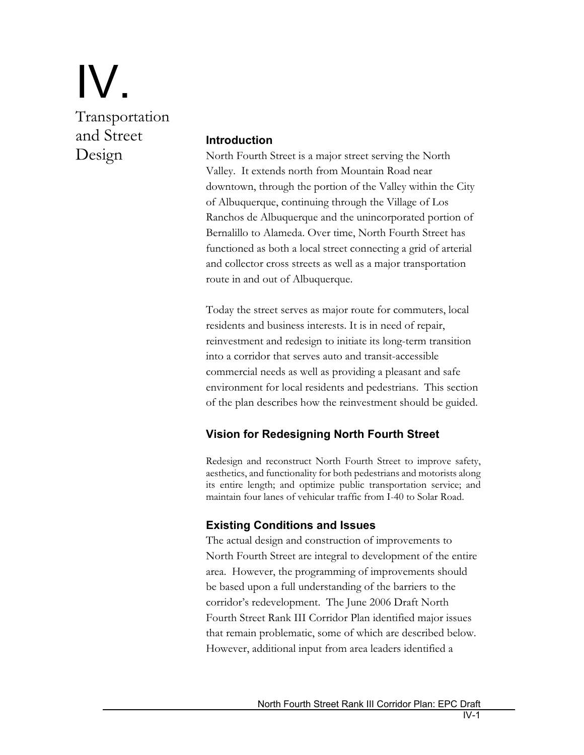# IV. Transportation and Street Design

#### **Introduction**

North Fourth Street is a major street serving the North Valley. It extends north from Mountain Road near downtown, through the portion of the Valley within the City of Albuquerque, continuing through the Village of Los Ranchos de Albuquerque and the unincorporated portion of Bernalillo to Alameda. Over time, North Fourth Street has functioned as both a local street connecting a grid of arterial and collector cross streets as well as a major transportation route in and out of Albuquerque.

Today the street serves as major route for commuters, local residents and business interests. It is in need of repair, reinvestment and redesign to initiate its long-term transition into a corridor that serves auto and transit-accessible commercial needs as well as providing a pleasant and safe environment for local residents and pedestrians. This section of the plan describes how the reinvestment should be guided.

# **Vision for Redesigning North Fourth Street**

Redesign and reconstruct North Fourth Street to improve safety, aesthetics, and functionality for both pedestrians and motorists along its entire length; and optimize public transportation service; and maintain four lanes of vehicular traffic from I-40 to Solar Road.

# **Existing Conditions and Issues**

The actual design and construction of improvements to North Fourth Street are integral to development of the entire area. However, the programming of improvements should be based upon a full understanding of the barriers to the corridor's redevelopment. The June 2006 Draft North Fourth Street Rank III Corridor Plan identified major issues that remain problematic, some of which are described below. However, additional input from area leaders identified a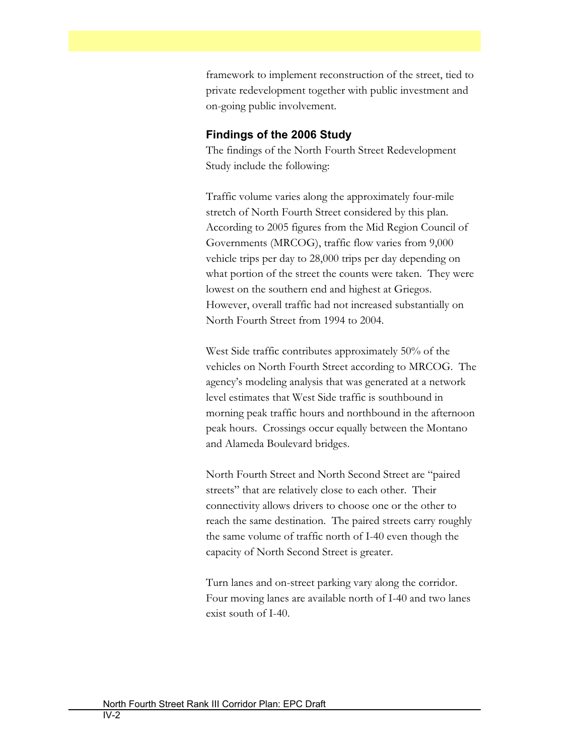framework to implement reconstruction of the street, tied to private redevelopment together with public investment and on-going public involvement.

#### **Findings of the 2006 Study**

The findings of the North Fourth Street Redevelopment Study include the following:

Traffic volume varies along the approximately four-mile stretch of North Fourth Street considered by this plan. According to 2005 figures from the Mid Region Council of Governments (MRCOG), traffic flow varies from 9,000 vehicle trips per day to 28,000 trips per day depending on what portion of the street the counts were taken. They were lowest on the southern end and highest at Griegos. However, overall traffic had not increased substantially on North Fourth Street from 1994 to 2004.

West Side traffic contributes approximately 50% of the vehicles on North Fourth Street according to MRCOG. The agency's modeling analysis that was generated at a network level estimates that West Side traffic is southbound in morning peak traffic hours and northbound in the afternoon peak hours. Crossings occur equally between the Montano and Alameda Boulevard bridges.

North Fourth Street and North Second Street are "paired streets" that are relatively close to each other. Their connectivity allows drivers to choose one or the other to reach the same destination. The paired streets carry roughly the same volume of traffic north of I-40 even though the capacity of North Second Street is greater.

Turn lanes and on-street parking vary along the corridor. Four moving lanes are available north of I-40 and two lanes exist south of I-40.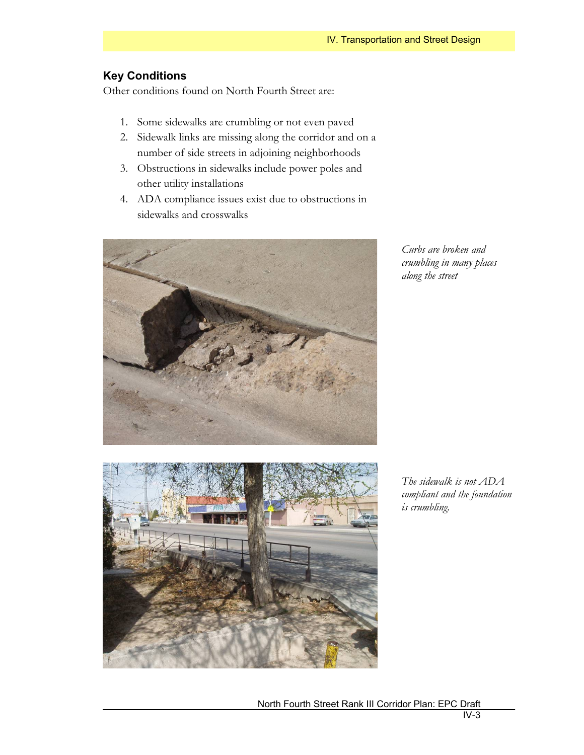# **Key Conditions**

Other conditions found on North Fourth Street are:

- 1. Some sidewalks are crumbling or not even paved
- 2. Sidewalk links are missing along the corridor and on a number of side streets in adjoining neighborhoods
- 3. Obstructions in sidewalks include power poles and other utility installations
- 4. ADA compliance issues exist due to obstructions in sidewalks and crosswalks



*Curbs are broken and crumbling in many places along the street* 



*The sidewalk is not ADA compliant and the foundation is crumbling.*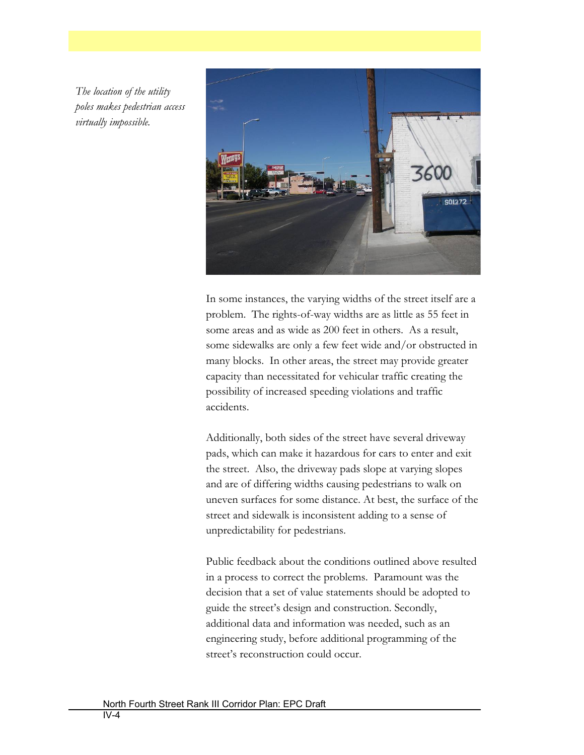*The location of the utility poles makes pedestrian access virtually impossible.* 



In some instances, the varying widths of the street itself are a problem. The rights-of-way widths are as little as 55 feet in some areas and as wide as 200 feet in others. As a result, some sidewalks are only a few feet wide and/or obstructed in many blocks. In other areas, the street may provide greater capacity than necessitated for vehicular traffic creating the possibility of increased speeding violations and traffic accidents.

Additionally, both sides of the street have several driveway pads, which can make it hazardous for cars to enter and exit the street. Also, the driveway pads slope at varying slopes and are of differing widths causing pedestrians to walk on uneven surfaces for some distance. At best, the surface of the street and sidewalk is inconsistent adding to a sense of unpredictability for pedestrians.

Public feedback about the conditions outlined above resulted in a process to correct the problems. Paramount was the decision that a set of value statements should be adopted to guide the street's design and construction. Secondly, additional data and information was needed, such as an engineering study, before additional programming of the street's reconstruction could occur.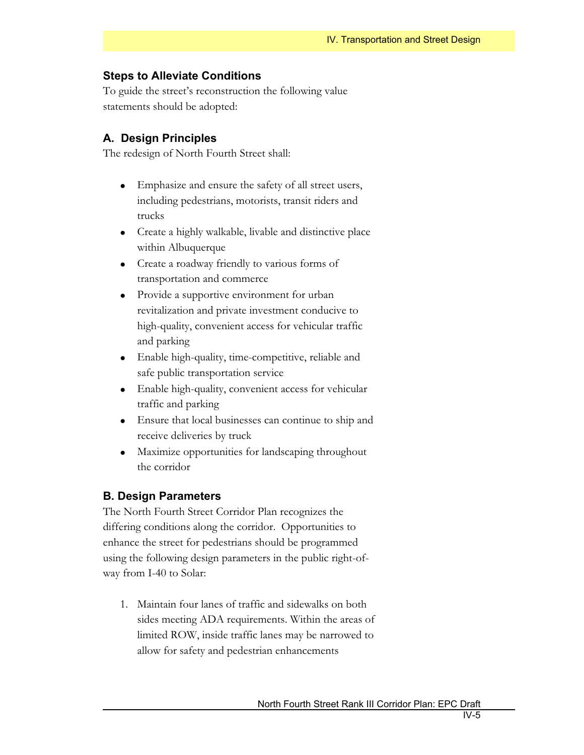#### **Steps to Alleviate Conditions**

To guide the street's reconstruction the following value statements should be adopted:

#### **A. Design Principles**

The redesign of North Fourth Street shall:

- Emphasize and ensure the safety of all street users, including pedestrians, motorists, transit riders and trucks
- $\bullet$  Create a highly walkable, livable and distinctive place within Albuquerque
- Create a roadway friendly to various forms of transportation and commerce
- Provide a supportive environment for urban revitalization and private investment conducive to high-quality, convenient access for vehicular traffic and parking
- Enable high-quality, time-competitive, reliable and safe public transportation service
- Enable high-quality, convenient access for vehicular traffic and parking
- Ensure that local businesses can continue to ship and receive deliveries by truck
- Maximize opportunities for landscaping throughout the corridor

### **B. Design Parameters**

The North Fourth Street Corridor Plan recognizes the differing conditions along the corridor. Opportunities to enhance the street for pedestrians should be programmed using the following design parameters in the public right-ofway from I-40 to Solar:

1. Maintain four lanes of traffic and sidewalks on both sides meeting ADA requirements. Within the areas of limited ROW, inside traffic lanes may be narrowed to allow for safety and pedestrian enhancements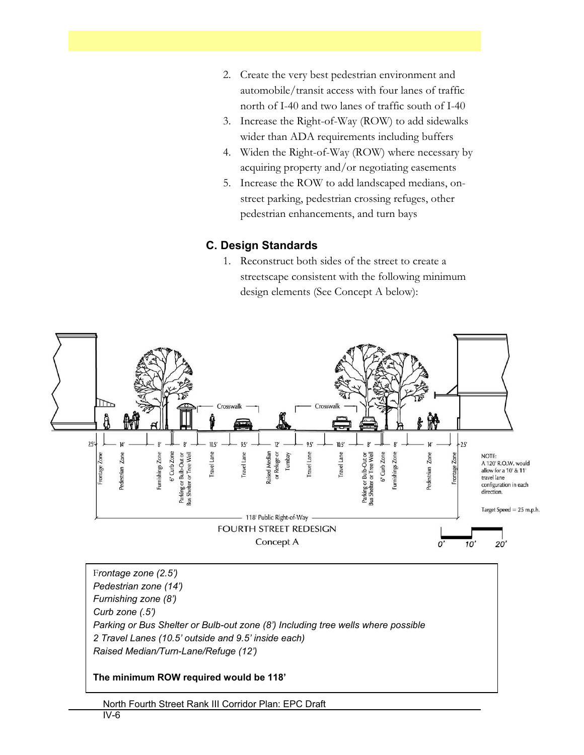- 2. Create the very best pedestrian environment and automobile/transit access with four lanes of traffic north of I-40 and two lanes of traffic south of I-40
- 3. Increase the Right-of-Way (ROW) to add sidewalks wider than ADA requirements including buffers
- 4. Widen the Right-of-Way (ROW) where necessary by acquiring property and/or negotiating easements
- 5. Increase the ROW to add landscaped medians, onstreet parking, pedestrian crossing refuges, other pedestrian enhancements, and turn bays

# **C. Design Standards**

1. Reconstruct both sides of the street to create a streetscape consistent with the following minimum design elements (See Concept A below):



F*rontage zone (2.5') Pedestrian zone (14') Furnishing zone (8') Curb zone (.5') Parking or Bus Shelter or Bulb-out zone (8') Including tree wells where possible 2 Travel Lanes (10.5' outside and 9.5' inside each) Raised Median/Turn-Lane/Refuge (12')* 

### **The minimum ROW required would be 118'**

North Fourth Street Rank III Corridor Plan: EPC Draft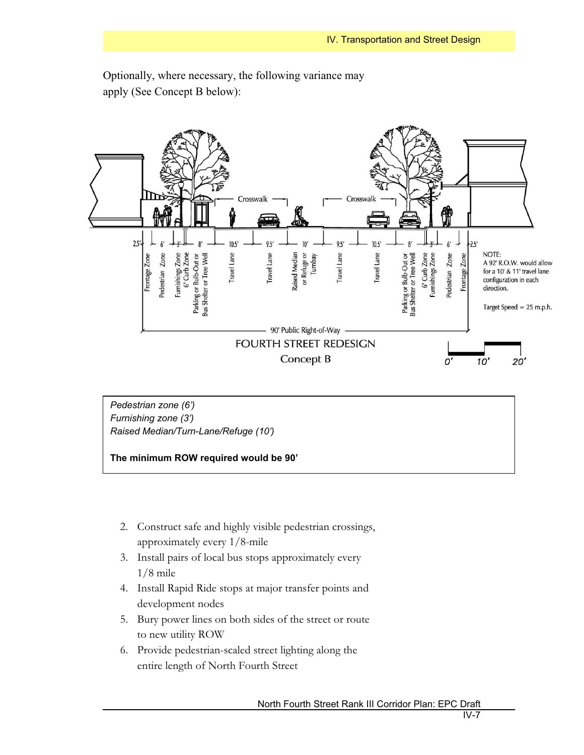

Optionally, where necessary, the following variance may apply (See Concept B below):

*Pedestrian zone (6') Furnishing zone (3') Raised Median/Turn-Lane/Refuge (10')* 



- 2. Construct safe and highly visible pedestrian crossings, approximately every 1/8-mile
- 3. Install pairs of local bus stops approximately every 1/8 mile
- 4. Install Rapid Ride stops at major transfer points and development nodes
- 5. Bury power lines on both sides of the street or route to new utility ROW
- 6. Provide pedestrian-scaled street lighting along the entire length of North Fourth Street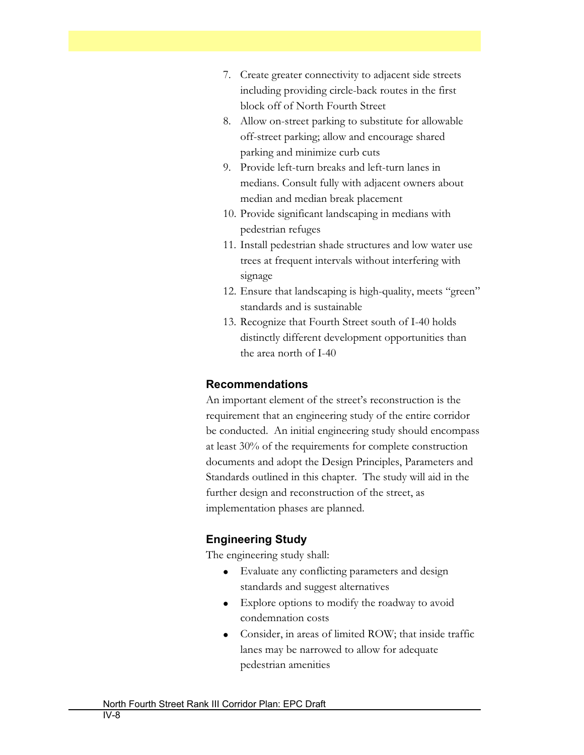- 7. Create greater connectivity to adjacent side streets including providing circle-back routes in the first block off of North Fourth Street
- 8. Allow on-street parking to substitute for allowable off-street parking; allow and encourage shared parking and minimize curb cuts
- 9. Provide left-turn breaks and left-turn lanes in medians. Consult fully with adjacent owners about median and median break placement
- 10. Provide significant landscaping in medians with pedestrian refuges
- 11. Install pedestrian shade structures and low water use trees at frequent intervals without interfering with signage
- 12. Ensure that landscaping is high-quality, meets "green" standards and is sustainable
- 13. Recognize that Fourth Street south of I-40 holds distinctly different development opportunities than the area north of I-40

#### **Recommendations**

An important element of the street's reconstruction is the requirement that an engineering study of the entire corridor be conducted. An initial engineering study should encompass at least 30% of the requirements for complete construction documents and adopt the Design Principles, Parameters and Standards outlined in this chapter. The study will aid in the further design and reconstruction of the street, as implementation phases are planned.

### **Engineering Study**

The engineering study shall:

- Evaluate any conflicting parameters and design standards and suggest alternatives
- Explore options to modify the roadway to avoid condemnation costs
- Consider, in areas of limited ROW; that inside traffic lanes may be narrowed to allow for adequate pedestrian amenities